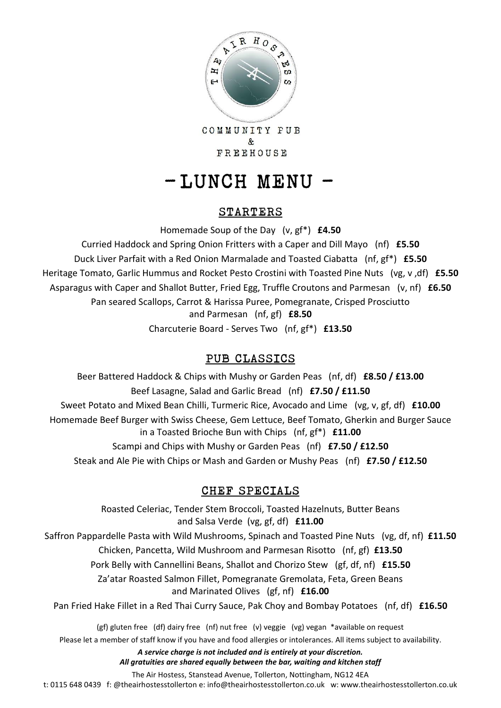

COMMUNITY PUB  $\&$ FREEHOUSE

# $-LUNCH$  MENU -

### STARTERS

Homemade Soup of the Day (v, gf\*) **£4.50**

Curried Haddock and Spring Onion Fritters with a Caper and Dill Mayo (nf) **£5.50** Duck Liver Parfait with a Red Onion Marmalade and Toasted Ciabatta (nf, gf\*) **£5.50** Heritage Tomato, Garlic Hummus and Rocket Pesto Crostini with Toasted Pine Nuts (vg, v ,df) **£5.50** Asparagus with Caper and Shallot Butter, Fried Egg, Truffle Croutons and Parmesan (v, nf) **£6.50** Pan seared Scallops, Carrot & Harissa Puree, Pomegranate, Crisped Prosciutto and Parmesan (nf, gf) **£8.50** Charcuterie Board - Serves Two (nf, gf\*) **£13.50**

## PUB CLASSICS

Beer Battered Haddock & Chips with Mushy or Garden Peas (nf, df) **£8.50 / £13.00** Beef Lasagne, Salad and Garlic Bread (nf) **£7.50 / £11.50** Sweet Potato and Mixed Bean Chilli, Turmeric Rice, Avocado and Lime (vg, v, gf, df) **£10.00** Homemade Beef Burger with Swiss Cheese, Gem Lettuce, Beef Tomato, Gherkin and Burger Sauce in a Toasted Brioche Bun with Chips (nf, gf\*) **£11.00** Scampi and Chips with Mushy or Garden Peas (nf) **£7.50 / £12.50** Steak and Ale Pie with Chips or Mash and Garden or Mushy Peas (nf) **£7.50 / £12.50**

### CHEF SPECIALS

Roasted Celeriac, Tender Stem Broccoli, Toasted Hazelnuts, Butter Beans and Salsa Verde (vg, gf, df) **£11.00** Saffron Pappardelle Pasta with Wild Mushrooms, Spinach and Toasted Pine Nuts (vg, df, nf) **£11.50** Chicken, Pancetta, Wild Mushroom and Parmesan Risotto (nf, gf) **£13.50** Pork Belly with Cannellini Beans, Shallot and Chorizo Stew (gf, df, nf) **£15.50** Za'atar Roasted Salmon Fillet, Pomegranate Gremolata, Feta, Green Beans and Marinated Olives (gf, nf) **£16.00** Pan Fried Hake Fillet in a Red Thai Curry Sauce, Pak Choy and Bombay Potatoes (nf, df) **£16.50** (gf) gluten free (df) dairy free (nf) nut free (v) veggie (vg) vegan \*available on request Please let a member of staff know if you have and food allergies or intolerances. All items subject to availability. *A service charge is not included and is entirely at your discretion.* 

*All gratuities are shared equally between the bar, waiting and kitchen staff*

The Air Hostess, Stanstead Avenue, Tollerton, Nottingham, NG12 4EA

t: 0115 648 0439 f: @theairhostesstollerton e: info@theairhostesstollerton.co.uk w: www.theairhostesstollerton.co.uk